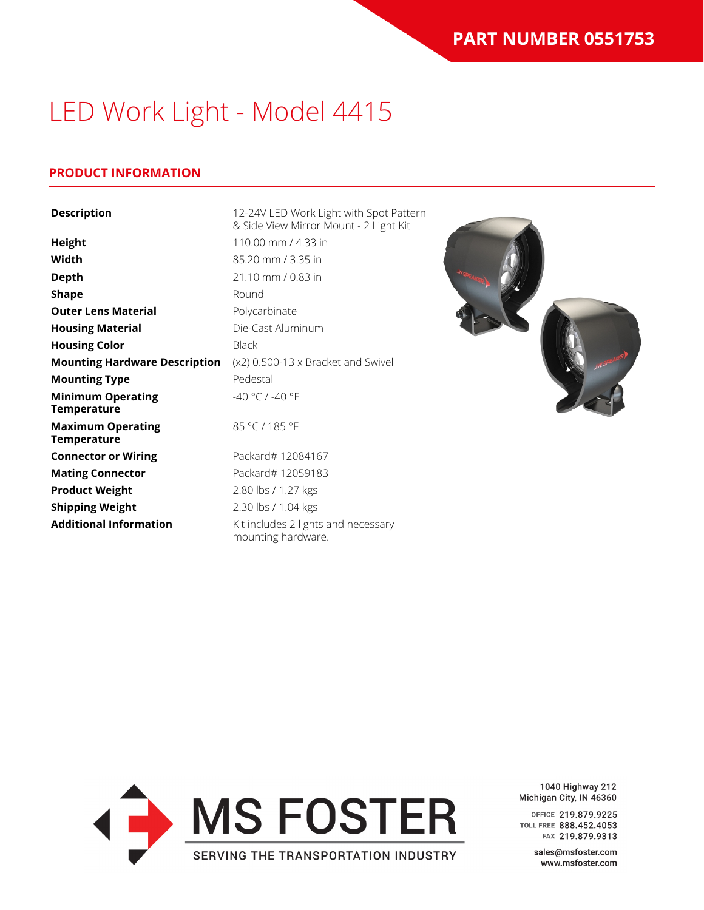### **PRODUCT INFORMATION**

| <b>Description</b>                             | 12-24V LED Work Light with Spot Pattern<br>& Side View Mirror Mount - 2 Light Kit |
|------------------------------------------------|-----------------------------------------------------------------------------------|
| <b>Height</b>                                  | 110.00 mm / 4.33 in                                                               |
| Width                                          | 85.20 mm / 3.35 in                                                                |
| <b>Depth</b>                                   | 21.10 mm / 0.83 in                                                                |
| <b>Shape</b>                                   | Round                                                                             |
| <b>Outer Lens Material</b>                     | Polycarbinate                                                                     |
| <b>Housing Material</b>                        | Die-Cast Aluminum                                                                 |
| <b>Housing Color</b>                           | <b>Black</b>                                                                      |
| <b>Mounting Hardware Description</b>           | $(x2)$ 0.500-13 x Bracket and Swivel                                              |
| <b>Mounting Type</b>                           | Pedestal                                                                          |
| <b>Minimum Operating</b><br><b>Temperature</b> | -40 °C / -40 °F                                                                   |
| <b>Maximum Operating</b><br><b>Temperature</b> | 85 °C / 185 °F                                                                    |
| <b>Connector or Wiring</b>                     | Packard# 12084167                                                                 |
| <b>Mating Connector</b>                        | Packard# 12059183                                                                 |
| <b>Product Weight</b>                          | 2.80 lbs / 1.27 kgs                                                               |
| <b>Shipping Weight</b>                         | 2.30 lbs / 1.04 kgs                                                               |
| <b>Additional Information</b>                  | Kit includes 2 lights and necessary<br>mounting hardware.                         |





1040 Highway 212 Michigan City, IN 46360

OFFICE 219.879.9225 TOLL FREE 888.452.4053 FAX 219.879.9313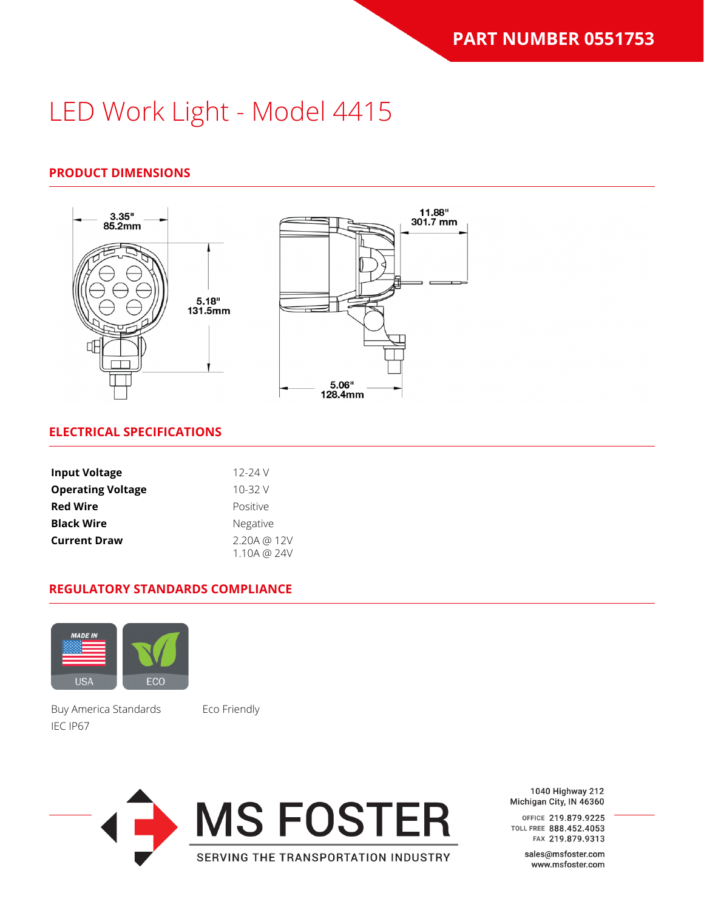### **PRODUCT DIMENSIONS**



#### **ELECTRICAL SPECIFICATIONS**

| <b>Input Voltage</b>     | 12-24 V         |
|--------------------------|-----------------|
| <b>Operating Voltage</b> | $10 - 32V$      |
| <b>Red Wire</b>          | Positive        |
| <b>Black Wire</b>        | <b>Negative</b> |
| <b>Current Draw</b>      | 2.20A @ 12V     |
|                          | 1.10A @ 24V     |

#### **REGULATORY STANDARDS COMPLIANCE**



Buy America Standards Eco Friendly IEC IP67



1040 Highway 212 Michigan City, IN 46360

OFFICE 219.879.9225 TOLL FREE 888.452.4053 FAX 219.879.9313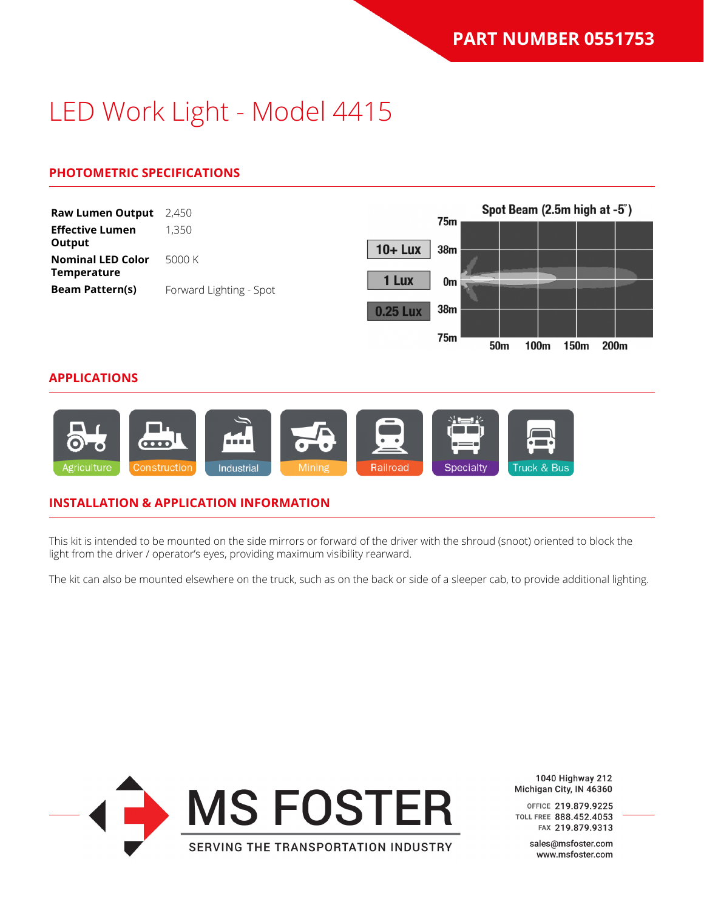### **PHOTOMETRIC SPECIFICATIONS**



#### **INSTALLATION & APPLICATION INFORMATION**

This kit is intended to be mounted on the side mirrors or forward of the driver with the shroud (snoot) oriented to block the light from the driver / operator's eyes, providing maximum visibility rearward.

The kit can also be mounted elsewhere on the truck, such as on the back or side of a sleeper cab, to provide additional lighting.



1040 Highway 212 Michigan City, IN 46360

OFFICE 219.879.9225 TOLL FREE 888.452.4053 FAX 219.879.9313